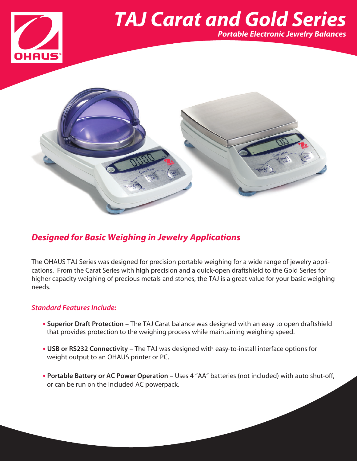

## *TAJ Carat and Gold Series Portable Electronic Jewelry Balances*



### *Designed for Basic Weighing in Jewelry Applications*

The OHAUS TAJ Series was designed for precision portable weighing for a wide range of jewelry applications. From the Carat Series with high precision and a quick-open draftshield to the Gold Series for higher capacity weighing of precious metals and stones, the TAJ is a great value for your basic weighing needs.

#### *Standard Features Include:*

- **• Superior Draft Protection –** The TAJ Carat balance was designed with an easy to open draftshield that provides protection to the weighing process while maintaining weighing speed.
- **• USB or RS232 Connectivity –** The TAJ was designed with easy-to-install interface options for weight output to an OHAUS printer or PC.
- **• Portable Battery or AC Power Operation –** Uses 4 "AA" batteries (not included) with auto shut-off, or can be run on the included AC powerpack.